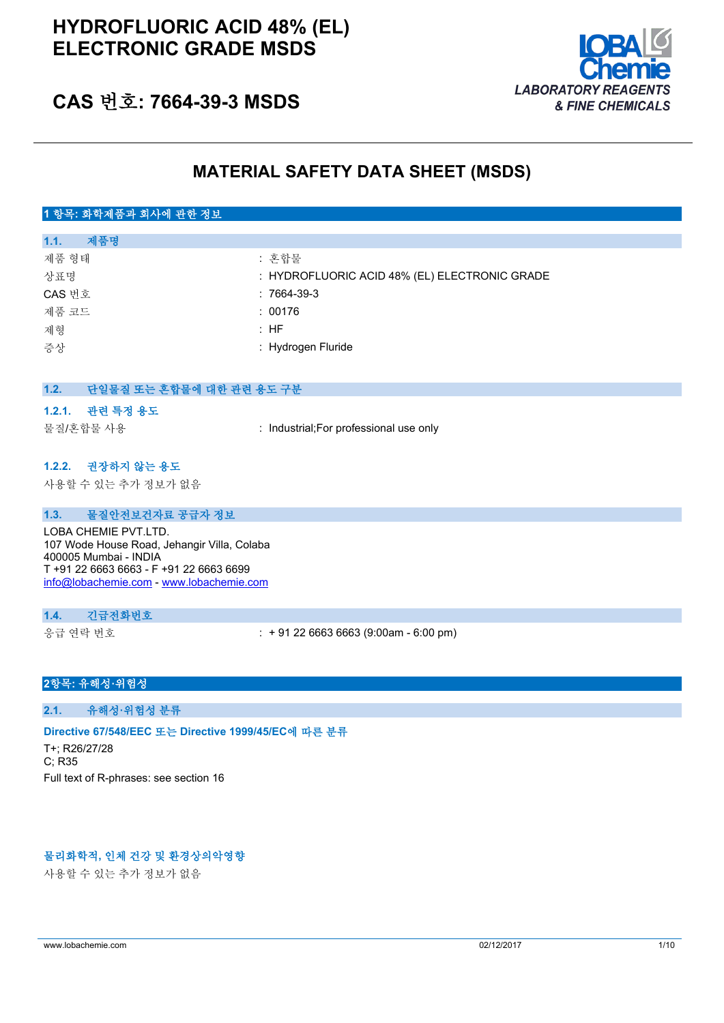

### **CAS 번호: 7664-39-3 MSDS**

### **MATERIAL SAFETY DATA SHEET (MSDS)**

#### **1 항목: 화학제품과 회사에 관한 정보**

| 제품명<br>1.1. |                                               |
|-------------|-----------------------------------------------|
| 제품 형태       | : 혼합물                                         |
| 상표명         | : HYDROFLUORIC ACID 48% (EL) ELECTRONIC GRADE |
| CAS 번호      | $:7664-39-3$                                  |
| 제품 코드       | : 00176                                       |
| 제형          | : HF                                          |
| 증상          | : Hydrogen Fluride                            |
|             |                                               |

#### **1.2. 단일물질 또는 혼합물에 대한 관련 용도 구분**

#### **1.2.1. 관련 특정 용도**

물질/혼합물 사용 : Industrial;For professional use only

#### **1.2.2. 권장하지 않는 용도**

사용할 수 있는 추가 정보가 없음

#### **1.3. 물질안전보건자료 공급자 정보**

LOBA CHEMIE PVT.LTD. 107 Wode House Road, Jehangir Villa, Colaba 400005 Mumbai - INDIA T +91 22 6663 6663 - F +91 22 6663 6699 [info@lobachemie.com](mailto:info@lobachemie.com) - <www.lobachemie.com>

#### **1.4. 긴급전화번호**

응급 연락 번호 : + 91 22 6663 6663 (9:00am - 6:00 pm)

#### **2항목: 유해성·위험성**

**2.1. 유해성·위험성 분류**

#### **Directive 67/548/EEC 또는 Directive 1999/45/EC에 따른 분류**

T+; R26/27/28 C; R35 Full text of R-phrases: see section 16

#### **물리화학적, 인체 건강 및 환경상의악영향**

사용할 수 있는 추가 정보가 없음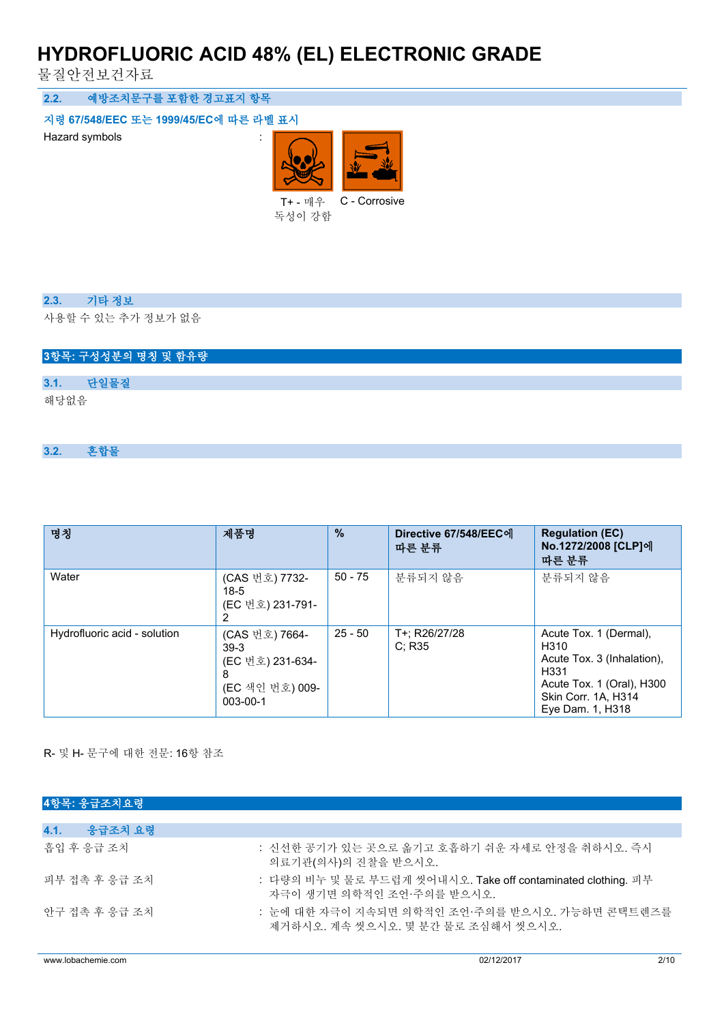물질안전보건자료

**2.2. 예방조치문구를 포함한 경고표지 항목**

**지령 67/548/EEC 또는 1999/45/EC에 따른 라벨 표시**

Hazard symbols is a set of the state of the state of the state of the state of the state of the state of the state of the state of the state of the state of the state of the state of the state of the state of the state of



독성이 강함

#### **2.3. 기타 정보**

사용할 수 있는 추가 정보가 없음

|      |      | 3항목: 구성성분의 명칭 및 함유량 |  |  |  |  |
|------|------|---------------------|--|--|--|--|
|      |      |                     |  |  |  |  |
| 3.1. | 단일물질 |                     |  |  |  |  |
| 해당없음 |      |                     |  |  |  |  |

#### **3.2. 혼합물**

| 명칭                           | 제품명                                                                              | $\frac{9}{6}$ | Directive 67/548/EEC에<br>따른 분류 | <b>Regulation (EC)</b><br>No.1272/2008 [CLP]에<br>따른 분류                                                                                       |
|------------------------------|----------------------------------------------------------------------------------|---------------|--------------------------------|----------------------------------------------------------------------------------------------------------------------------------------------|
| Water                        | (CAS 번호) 7732-<br>$18-5$<br>(EC 번호) 231-791-                                     | $50 - 75$     | 분류되지 않음                        | 분류되지 않음                                                                                                                                      |
| Hydrofluoric acid - solution | (CAS 번호) 7664-<br>$39-3$<br>(EC 번호) 231-634-<br>8<br>(EC 색인 번호) 009-<br>003-00-1 | $25 - 50$     | T+: R26/27/28<br>C: R35        | Acute Tox. 1 (Dermal),<br>H310<br>Acute Tox. 3 (Inhalation).<br>H331<br>Acute Tox. 1 (Oral), H300<br>Skin Corr. 1A, H314<br>Eye Dam. 1, H318 |

R- 및 H- 문구에 대한 전문: 16항 참조

| 4항목: 응급조치요령     |                                                                                           |
|-----------------|-------------------------------------------------------------------------------------------|
|                 |                                                                                           |
| 4.1.<br>응급조치 요령 |                                                                                           |
| 흠입 후 응급 조치      | : 신선한 공기가 있는 곳으로 옮기고 호흡하기 쉬운 자세로 안정을 취하시오. 즉시<br>의료기관(의사)의 진찰을 받으시오.                      |
| 피부 접촉 후 응급 조치   | : 다량의 비누 및 물로 부드럽게 씻어내시오. Take off contaminated clothing. 피부<br>자극이 생기면 의학적이 조언 주의를 받으시오. |
| 아구 접촉 후 응급 조치   | : 눈에 대한 자극이 지속되면 의학적인 조언·주의를 받으시오. 가능하면 콘택트렌즈를<br>제거하시오. 계속 씻으시오. 몇 분간 물로 조심해서 씻으시오.      |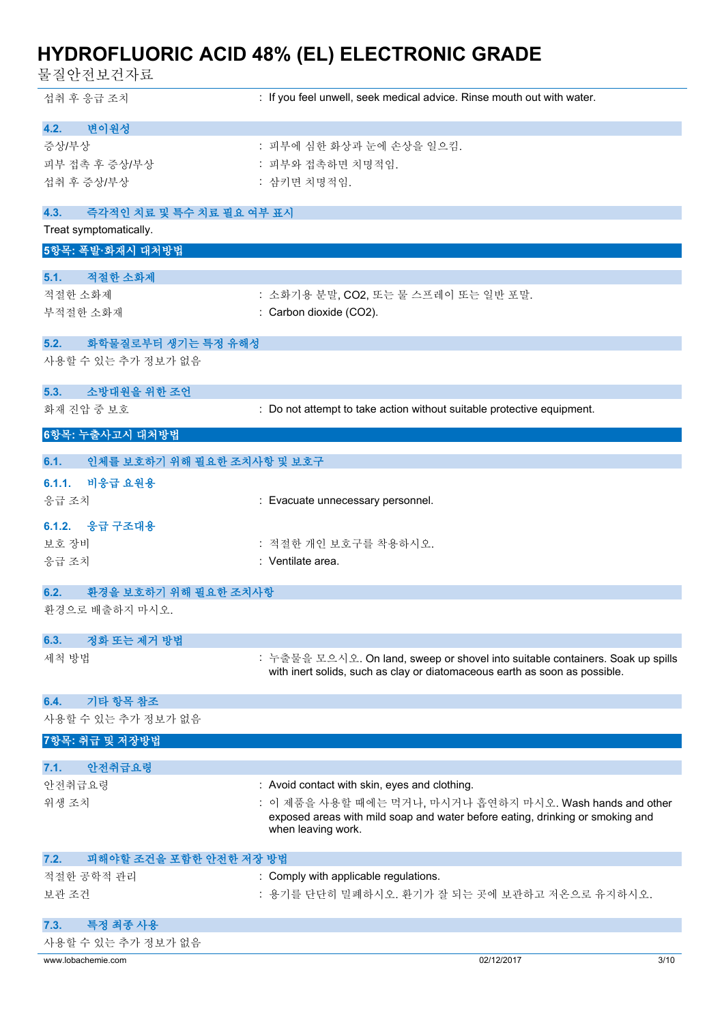물질안전보건자료

| 섭취 후 응급 조치                             | : If you feel unwell, seek medical advice. Rinse mouth out with water.                                                                    |
|----------------------------------------|-------------------------------------------------------------------------------------------------------------------------------------------|
| 변이원성<br>4.2.                           |                                                                                                                                           |
| 증상/부상                                  | : 피부에 심한 화상과 눈에 손상을 일으킴.                                                                                                                  |
| 피부 접촉 후 증상/부상                          | : 피부와 접촉하면 치명적임.                                                                                                                          |
| 섭취 후 증상/부상                             | : 삼키면 치명적임.                                                                                                                               |
| 4.3.<br>즉각적인 치료 및 특수 치료 필요 여부 표시       |                                                                                                                                           |
| Treat symptomatically.                 |                                                                                                                                           |
| 5항목: 폭발·화재시 대처방법                       |                                                                                                                                           |
| 적절한 소화제<br>5.1.                        |                                                                                                                                           |
| 적절한 소화제                                | : 소화기용 분말, CO2, 또는 물 스프레이 또는 일반 포말.                                                                                                       |
| 부적절한 소화재                               | : Carbon dioxide (CO2).                                                                                                                   |
| 화학물질로부터 생기는 특정 유해성<br>5.2.             |                                                                                                                                           |
| 사용할 수 있는 추가 정보가 없음                     |                                                                                                                                           |
| 소방대원을 위한 조언<br>5.3.                    |                                                                                                                                           |
| 화재 진압 중 보호                             | : Do not attempt to take action without suitable protective equipment.                                                                    |
|                                        |                                                                                                                                           |
| 6항목: 누출사고시 대처방법                        |                                                                                                                                           |
| 인체를 보호하기 위해 필요한 조치사항 및 보호구<br>6.1.     |                                                                                                                                           |
| 6.1.1.<br>비응급 요원용                      |                                                                                                                                           |
| 응급 조치                                  | : Evacuate unnecessary personnel.                                                                                                         |
| 6.1.2. 응급 구조대용                         |                                                                                                                                           |
| 보호 장비                                  | : 적절한 개인 보호구를 착용하시오.                                                                                                                      |
| 응급 조치                                  | : Ventilate area.                                                                                                                         |
| 환경을 보호하기 위해 필요한 조치사항<br>6.2.           |                                                                                                                                           |
| 환경으로 배출하지 마시오.                         |                                                                                                                                           |
| 정화 또는 제거 방법<br>6.3.                    |                                                                                                                                           |
| 세척 방법                                  | : 누출물을 모으시오. On land, sweep or shovel into suitable containers. Soak up spills                                                            |
|                                        | with inert solids, such as clay or diatomaceous earth as soon as possible.                                                                |
| 기타 항목 참조<br>6.4.                       |                                                                                                                                           |
| 사용할 수 있는 추가 정보가 없음                     |                                                                                                                                           |
| 7항목: 취급 및 저장방법                         |                                                                                                                                           |
| 안전취급요령<br>7.1.                         |                                                                                                                                           |
| 안전취급요령                                 | : Avoid contact with skin, eyes and clothing.                                                                                             |
| 위생 조치                                  | : 이 제품을 사용할 때에는 먹거나, 마시거나 흡연하지 마시오. Wash hands and other<br>exposed areas with mild soap and water before eating, drinking or smoking and |
|                                        | when leaving work.                                                                                                                        |
| 7.2.<br>피해야할 조건을 포함한 안전한 저장 방법         |                                                                                                                                           |
| 적절한 공학적 관리                             | : Comply with applicable regulations.                                                                                                     |
| 보관 조건                                  | : 용기를 단단히 밀폐하시오. 환기가 잘 되는 곳에 보관하고 저온으로 유지하시오.                                                                                             |
|                                        |                                                                                                                                           |
| 특정 최종 사용<br>7.3.<br>사용할 수 있는 추가 정보가 없음 |                                                                                                                                           |
| www.lobachemie.com                     | 02/12/2017<br>3/10                                                                                                                        |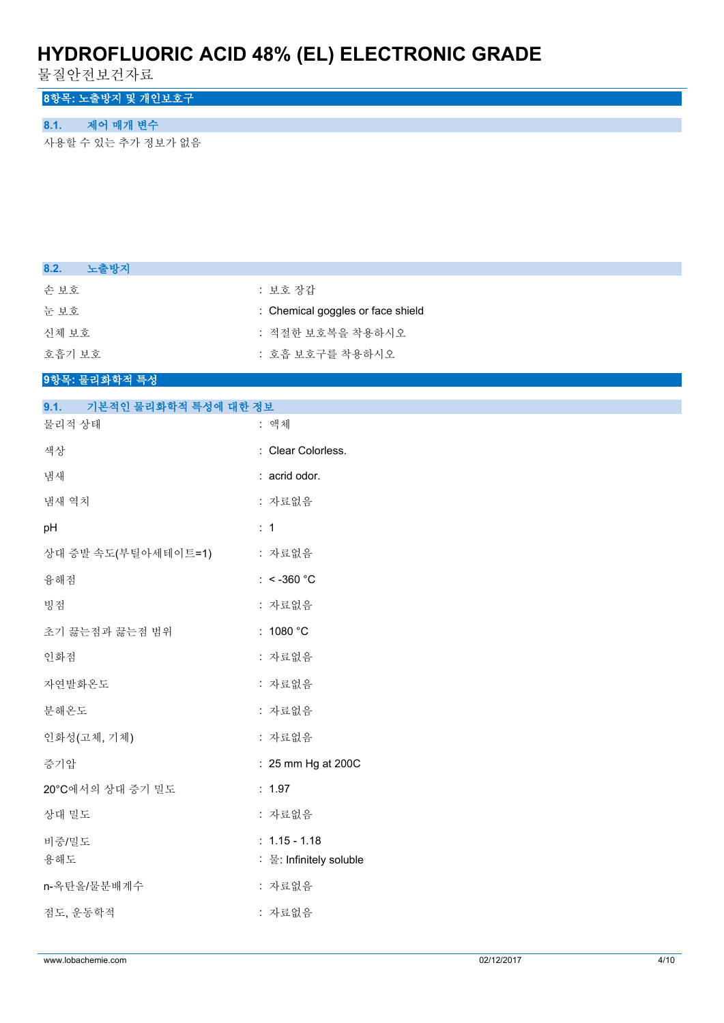물질안전보건자료

### **8항목: 노출방지 및 개인보호구**

### **8.1. 제어 매개 변수**

사용할 수 있는 추가 정보가 없음

초기 끓는점과 끓는점 범위 : 1080 °C

인화점 : 자료없음

자연발화온도 : 자료없음

분해온도 가로없음

인화성(고체, 기체) : 자료없음

상대 밀도 ٢ - 2000 - 2000 - 2000 - 2000 - 2010 - 2010 - 2010 - 2010 - 2010 - 2010 - 2010 - 2010 - 2010 - 2010 - 20

비중/밀도 : 1.15 - 1.18

n-옥탄올/물분배계수 : 자료없음

점도, 운동학적 : 자료없음

20°C에서의 상대 증기 밀도 : 1.97

증기압 : 25 mm Hg at 200C

용해도 : 물: Infinitely soluble

| 노출방지<br>8.2.                 |                                   |
|------------------------------|-----------------------------------|
| 손보호                          | : 보호 장갑                           |
| 눈보호                          | : Chemical goggles or face shield |
| 신체 보호                        | : 적절한 보호복을 착용하시오                  |
| 호흡기 보호                       | : 호흡 보호구를 착용하시오                   |
| 9항목: 물리화학적 특성                |                                   |
| 기본적인 물리화학적 특성에 대한 정보<br>9.1. |                                   |
| 물리적 상태                       | : 액체                              |
| 색상                           | : Clear Colorless.                |
| 냄새                           | : acrid odor.                     |
| 냄새 역치                        | : 자료없음                            |
| pH                           | $\therefore$ 1                    |
| 상대 증발 속도(부틸아세테이트=1)          | : 자료없음                            |
| 융해점                          | : $<$ -360 °C                     |
| 빙점                           | : 자료없음                            |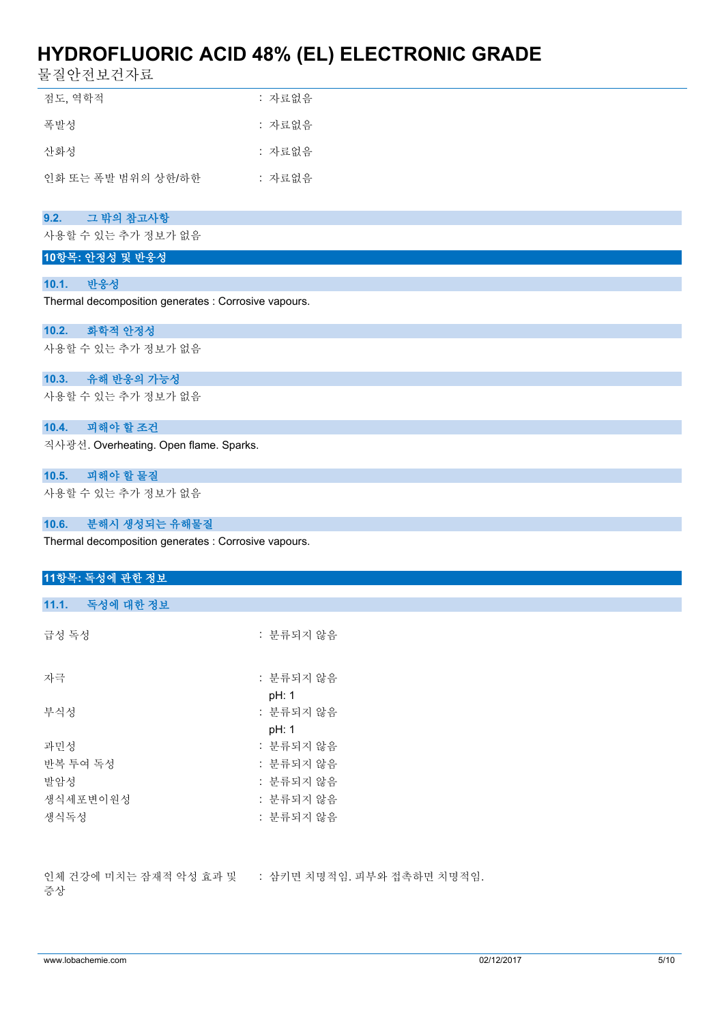물질안전보건자료

| 점도, 역학적            | : 자료없음 |
|--------------------|--------|
| 폭발성                | : 자료없음 |
| 산화성                | : 자료없음 |
| 인화 또는 폭발 범위의 상하/하한 | : 자료없음 |

#### **9.2. 그 밖의 참고사항**

사용할 수 있는 추가 정보가 없음

#### **10항목: 안정성 및 반응성**

#### **10.1. 반응성**

Thermal decomposition generates : Corrosive vapours.

#### **10.2. 화학적 안정성**

사용할 수 있는 추가 정보가 없음

#### **10.3. 유해 반응의 가능성**

사용할 수 있는 추가 정보가 없음

#### **10.4. 피해야 할 조건**

직사광선. Overheating. Open flame. Sparks.

#### **10.5. 피해야 할 물질**

사용할 수 있는 추가 정보가 없음

#### **10.6. 분해시 생성되는 유해물질**

Thermal decomposition generates : Corrosive vapours.

| 11항목: 독성에 관한 정보 |                                                   |
|-----------------|---------------------------------------------------|
|                 |                                                   |
| 11.1. 독성에 대한 정보 |                                                   |
| 급성 독성           | : 분류되지 않음                                         |
| 자극              | : 분류되지 않음                                         |
|                 | pH: 1                                             |
| 부식성             | : 분류되지 않음                                         |
|                 | pH: 1                                             |
| 과민성             | : 분류되지 않음                                         |
| 반복 투여 독성        | : 분류되지 않음                                         |
| 발암성             | : 분류되지 않음                                         |
| 생식세포변이원성        | : 분류되지 않음                                         |
| 생식독성            | : 분류되지 않음                                         |
|                 |                                                   |
| $\rightarrow$   | 인체 건강에 미치는 잠재적 악성 효과 및 : 삼키면 치명적임. 피부와 접촉하면 치명적임. |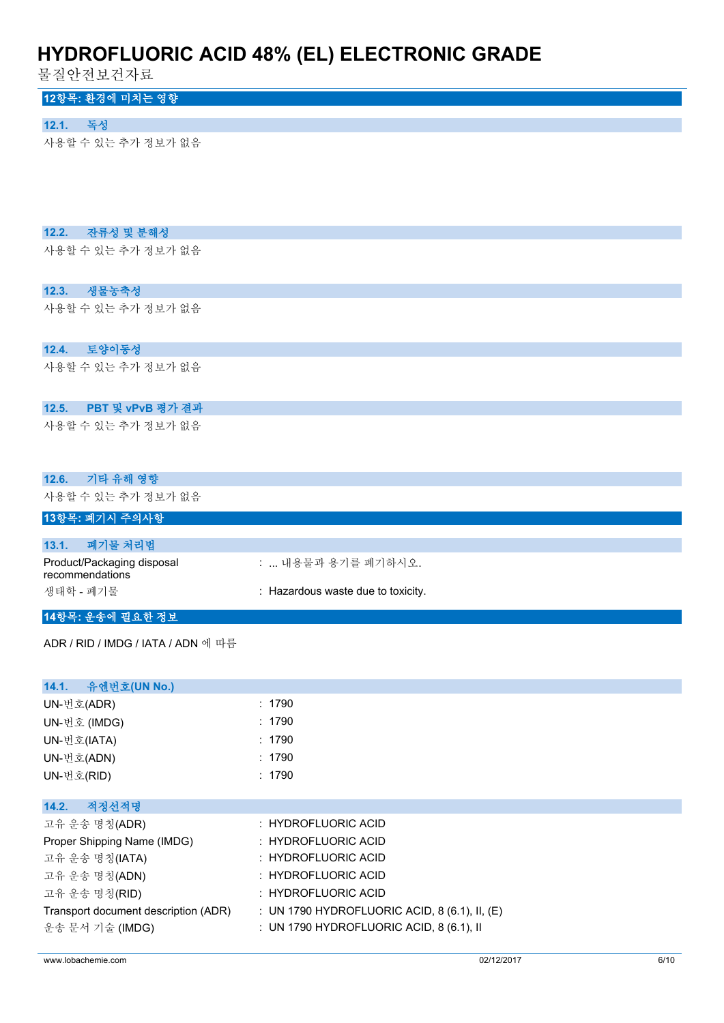물질안전보건자료

### **12항목: 환경에 미치는 영향**

#### **12.1. 독성**

사용할 수 있는 추가 정보가 없음

#### **12.2. 잔류성 및 분해성**

사용할 수 있는 추가 정보가 없음

#### **12.3. 생물농축성**

사용할 수 있는 추가 정보가 없음

#### **12.4. 토양이동성**

사용할 수 있는 추가 정보가 없음

#### **12.5. PBT 및 vPvB 평가 결과**

사용할 수 있는 추가 정보가 없음

| 기타 유해 영향<br>12.6.                             |                                               |
|-----------------------------------------------|-----------------------------------------------|
| 사용할 수 있는 추가 정보가 없음                            |                                               |
| 13항목: 폐기시 주의사항                                |                                               |
| 폐기물 처리법<br>13.1.                              |                                               |
| Product/Packaging disposal<br>recommendations | :  내용물과 용기를 폐기하시오.                            |
| 생태학 - 폐기물                                     | : Hazardous waste due to toxicity.            |
| 14항목: 운송에 필요한 정보                              |                                               |
| ADR / RID / IMDG / IATA / ADN 에 따름            |                                               |
| 14.1.<br>유엔번호(UN No.)                         |                                               |
| UN-번호(ADR)                                    | : 1790                                        |
| UN-번호 (IMDG)                                  | : 1790                                        |
| UN-번호(IATA)                                   | : 1790                                        |
| UN-번호(ADN)                                    | : 1790                                        |
| UN-번호(RID)                                    | : 1790                                        |
| 적정선적명<br>14.2.                                |                                               |
| 고유 운송 명칭(ADR)                                 | : HYDROFLUORIC ACID                           |
| Proper Shipping Name (IMDG)                   | : HYDROFLUORIC ACID                           |
| 고유 운송 명칭(IATA)                                | : HYDROFLUORIC ACID                           |
| 고유 운송 명칭(ADN)                                 | : HYDROFLUORIC ACID                           |
| 고유 운송 명칭(RID)                                 | : HYDROFLUORIC ACID                           |
| Transport document description (ADR)          | : UN 1790 HYDROFLUORIC ACID, 8 (6.1), II, (E) |
| 운송 문서 기술 (IMDG)                               | : UN 1790 HYDROFLUORIC ACID, 8 (6.1), II      |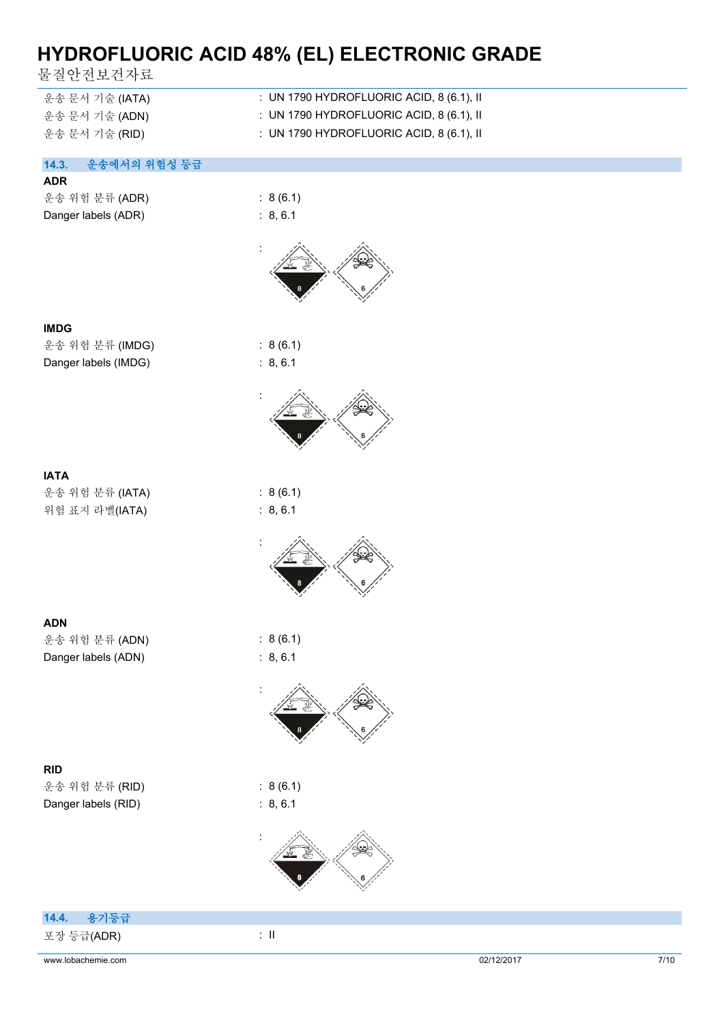물질안전보건자료

| 운송 문서 기술 (IATA) | : UN 1790 HYDROFLUORIC ACID, 8 (6.1), II |
|-----------------|------------------------------------------|
|-----------------|------------------------------------------|

- 운송 문서 기술 (ADN) : UN 1790 HYDROFLUORIC ACID, 8 (6.1), II
- 운송 문서 기술 (RID) : UN 1790 HYDROFLUORIC ACID, 8 (6.1), II

#### **14.3. 운송에서의 위험성 등급**

#### **ADR**

|  | 운송 위험 분류 (ADR)      |
|--|---------------------|
|  | Danger labels (ADR) |

 $: 8(6.1)$  $B, 6.1$ 





운송 위험 분류 (IMDG) : 8 (6.1) Danger labels (IMDG) : 8, 6.1

**IATA** 운송 위험 분류 (IATA) : 8 (6.1) 위험 표지 라벨(IATA) : 8, 6.1



 $: 8(6.1)$ 

:



| <b>ADN</b>          |          |
|---------------------|----------|
| 운송 위험 분류 (ADN)      | : 8(6.1) |
| Danger labels (ADN) | : 8.6.1  |



운송 위험 분류 (RID) : 8 (6.1) Danger labels (RID) : 8, 6.1







| 14.4. 용기등급 |  |
|------------|--|
| 포장 등급(ADR) |  |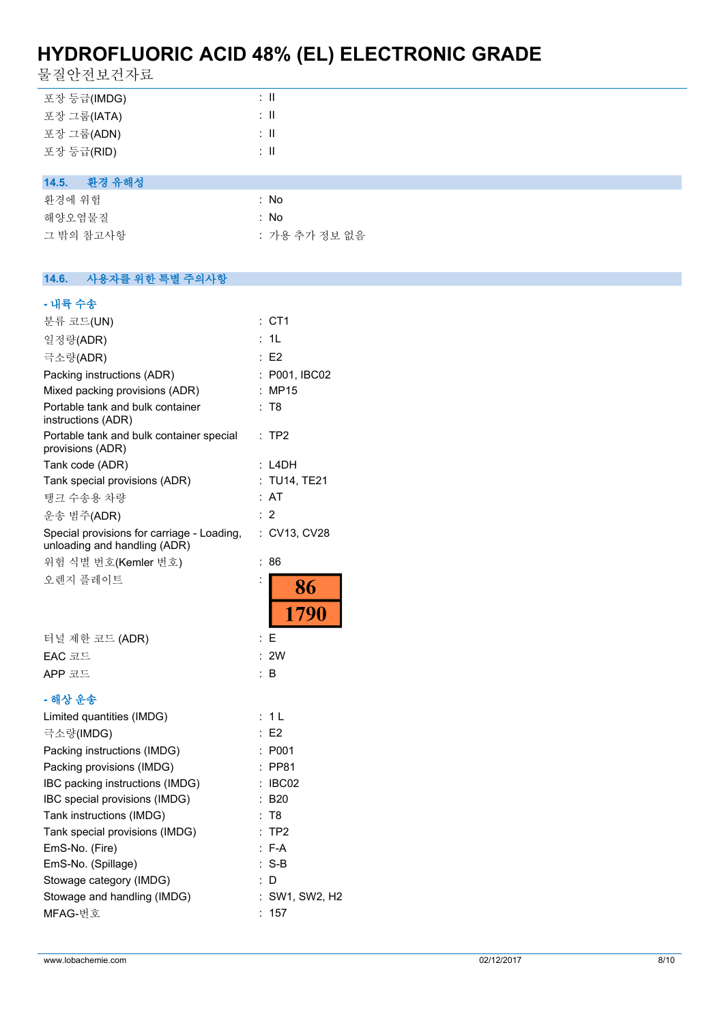물질안전보건자료

| 포장 등급(IMDG)     | $\therefore$ 11          |
|-----------------|--------------------------|
| 포장 그룹(IATA)     | $\therefore$ 11          |
| 포장 그룹(ADN)      | $\therefore$ 11          |
| 포장 등급(RID)      | $\therefore$ $\parallel$ |
|                 |                          |
| 환경 유해성<br>14.5. |                          |
| 환경에 위험          | : No                     |
| 해양오염물질          | : No                     |
| 그 밖의 참고사항       | : 가용 추가 정보 없음            |
|                 |                          |

#### **14.6. 사용자를 위한 특별 주의사항**

| - 내륙 수송                                                                    |                      |
|----------------------------------------------------------------------------|----------------------|
| 분류 코드(UN)                                                                  | : CT1                |
| 일정량(ADR)                                                                   | 1L<br>÷              |
| 극소량(ADR)                                                                   | E2                   |
| Packing instructions (ADR)                                                 | : P001, IBC02        |
| Mixed packing provisions (ADR)                                             | : MP15               |
| Portable tank and bulk container<br>instructions (ADR)                     | : T8                 |
| Portable tank and bulk container special<br>provisions (ADR)               | TP <sub>2</sub><br>÷ |
| Tank code (ADR)                                                            | : L4DH               |
| Tank special provisions (ADR)                                              | :TU14, TE21          |
| 탱크 수송용 차량                                                                  | : AT                 |
| 운송 범주(ADR)                                                                 | 2                    |
| Special provisions for carriage - Loading,<br>unloading and handling (ADR) | : CV13, CV28         |
| 위험 식별 번호(Kemler 번호)                                                        | 86<br>÷              |
| 오렌지 플레이트                                                                   | 86                   |
|                                                                            |                      |
|                                                                            | 1790                 |
| 터널 제한 코드 (ADR)                                                             | Ε<br>÷               |
| EAC 코드                                                                     | 2W<br>÷              |
| APP 코드                                                                     | ۰<br>B               |
| - 해상 운송                                                                    |                      |
| Limited quantities (IMDG)                                                  | 1 <sub>L</sub><br>÷. |
| 극소량(IMDG)                                                                  | : E2                 |
| Packing instructions (IMDG)                                                | : P001               |
| Packing provisions (IMDG)                                                  | : PP81               |
| IBC packing instructions (IMDG)                                            | : IBC02              |
| IBC special provisions (IMDG)                                              | : B20                |
| Tank instructions (IMDG)                                                   | T8                   |
| Tank special provisions (IMDG)                                             | TP <sub>2</sub><br>÷ |
| EmS-No. (Fire)                                                             | $F-A$                |
| EmS-No. (Spillage)                                                         | $S-B$                |
| Stowage category (IMDG)                                                    | D                    |
| Stowage and handling (IMDG)                                                | SW1, SW2, H2         |
| MFAG-번호                                                                    | 157                  |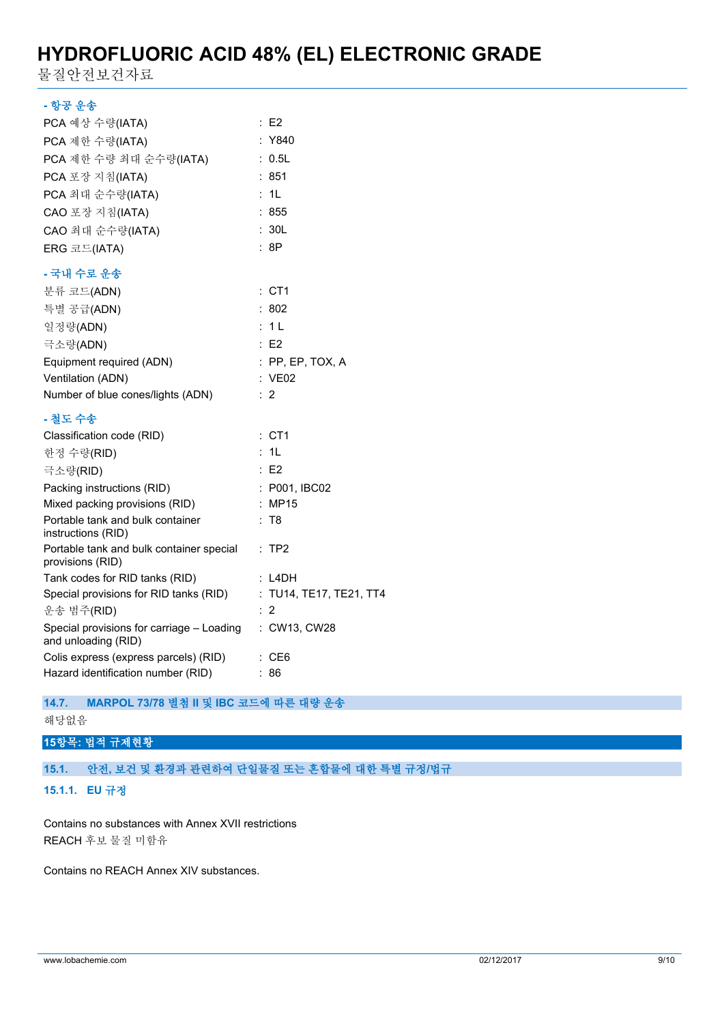물질안전보건자료

#### **- 항공 운송**

| PCA 예상 수량(IATA)                                                  | : E2                    |
|------------------------------------------------------------------|-------------------------|
| PCA 제한 수량(IATA)                                                  | : Y840                  |
| PCA 제한 수량 최대 순수량(IATA)                                           | : 0.5L                  |
| PCA 포장 지침(IATA)                                                  | 851                     |
| PCA 최대 순수량(IATA)                                                 | 1L                      |
| CAO 포장 지침(IATA)                                                  | : 855                   |
| CAO 최대 순수량(IATA)                                                 | : 30L                   |
| ERG 코드(IATA)                                                     | : 8P                    |
| - 국내 수로 운송                                                       |                         |
| 분류 코드(ADN)                                                       | $:$ CT1                 |
| 특별 공급(ADN)                                                       | :802                    |
| 일정량(ADN)                                                         | : 1L                    |
| 극소량(ADN)                                                         | :E2                     |
| Equipment required (ADN)                                         | : PP, EP, TOX, A        |
| Ventilation (ADN)                                                | : VE02                  |
| Number of blue cones/lights (ADN)                                | $\therefore$ 2          |
| - 철도 수송                                                          |                         |
| Classification code (RID)                                        | $:$ CT1                 |
| 한정 수량(RID)                                                       | : 1L                    |
| 극소량(RID)                                                         | E2                      |
| Packing instructions (RID)                                       | : P001, IBC02           |
| Mixed packing provisions (RID)                                   | MP15<br>÷               |
| Portable tank and bulk container<br>instructions (RID)           | : T8                    |
| Portable tank and bulk container special<br>provisions (RID)     | : TP2                   |
| Tank codes for RID tanks (RID)                                   | : L4DH                  |
| Special provisions for RID tanks (RID)                           | : TU14, TE17, TE21, TT4 |
| 운송 범주(RID)                                                       | 2                       |
| Special provisions for carriage - Loading<br>and unloading (RID) | : CW13, CW28            |
| Colis express (express parcels) (RID)                            | : CE6                   |
| Hazard identification number (RID)                               | : 86                    |

#### **14.7. MARPOL 73/78 별첨 II 및 IBC 코드에 따른 대량 운송**

해당없음

### **15항목: 법적 규제현황**

### **15.1. 안전, 보건 및 환경과 관련하여 단일물질 또는 혼합물에 대한 특별 규정/법규**

**15.1.1. EU 규정**

Contains no substances with Annex XVII restrictions REACH 후보 물질 미함유

Contains no REACH Annex XIV substances.